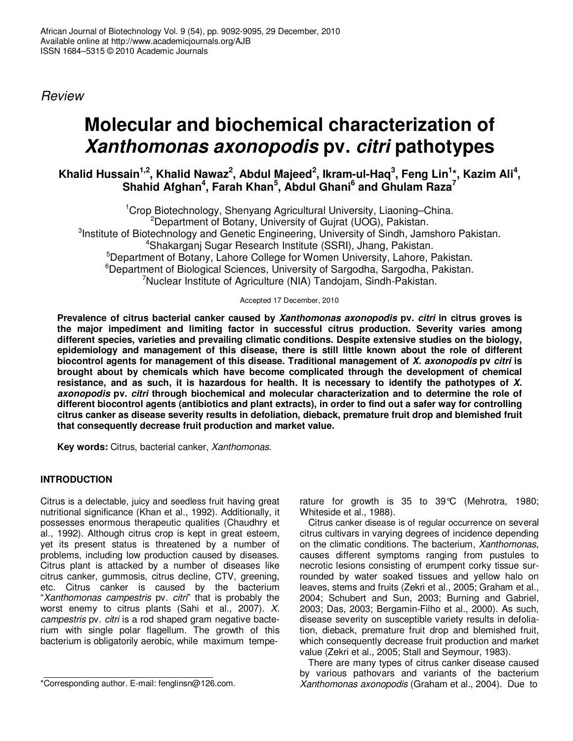*Review*

# **Molecular and biochemical characterization of** *Xanthomonas axonopodis* **pv.** *citri* **pathotypes**

Khalid Hussain<sup>1,2</sup>, Khalid Nawaz<sup>2</sup>, Abdul Majeed<sup>2</sup>, Ikram-ul-Haq<sup>3</sup>, Feng Lin<sup>1</sup>\*, Kazim Ali<sup>4</sup>, **Shahid Afghan 4 , Farah Khan 5 , Abdul Ghani 6 and Ghulam Raza 7**

<sup>1</sup>Crop Biotechnology, Shenyang Agricultural University, Liaoning–China. <sup>2</sup>Department of Botany, University of Guirat (UOG), Pakistan. <sup>3</sup>Institute of Biotechnology and Genetic Engineering, University of Sindh, Jamshoro Pakistan. <sup>4</sup>Shakarganj Sugar Research Institute (SSRI), Jhang, Pakistan. <sup>5</sup>Department of Botany, Lahore College for Women University, Lahore, Pakistan. <sup>6</sup>Department of Biological Sciences, University of Sargodha, Sargodha, Pakistan. <sup>7</sup>Nuclear Institute of Agriculture (NIA) Tandojam, Sindh-Pakistan.

Accepted 17 December, 2010

**Prevalence of citrus bacterial canker caused by** *Xanthomonas axonopodis* **pv.** *citri* **in citrus groves is the major impediment and limiting factor in successful citrus production. Severity varies among different species, varieties and prevailing climatic conditions. Despite extensive studies on the biology, epidemiology and management of this disease, there is still little known about the role of different biocontrol agents for management of this disease. Traditional management of** *X. axonopodis* **pv** *citri* **is brought about by chemicals which have become complicated through the development of chemical** resistance, and as such, it is hazardous for health. It is necessary to identify the pathotypes of X. *axonopodis* **pv.** *citri* **through biochemical and molecular characterization and to determine the role of** different biocontrol agents (antibiotics and plant extracts), in order to find out a safer way for controlling **citrus canker as disease severity results in defoliation, dieback, premature fruit drop and blemished fruit that consequently decrease fruit production and market value.**

**Key words:** Citrus, bacterial canker, *Xanthomonas*.

## **INTRODUCTION**

Citrus is a delectable, juicy and seedless fruit having great nutritional significance (Khan et al., 1992). Additionally, it possesses enormous therapeutic qualities (Chaudhry et al., 1992). Although citrus crop is kept in great esteem, yet its present status is threatened by a number of problems, including low production caused by diseases. Citrus plant is attacked by a number of diseases like citrus canker, gummosis, citrus decline, CTV, greening, etc. Citrus canker is caused by the bacterium "*Xanthomonas campestris* pv. *citri*" that is probably the worst enemy to citrus plants (Sahi et al., 2007). *X. campestris* pv. *citri* is a rod shaped gram negative bacterium with single polar flagellum. The growth of this bacterium is obligatorily aerobic, while maximum temperature for growth is 35 to 39°C (Mehrotra, 1980; Whiteside et al., 1988).

Citrus canker disease is of regular occurrence on several citrus cultivars in varying degrees of incidence depending on the climatic conditions. The bacterium, *Xanthomonas*, causes different symptoms ranging from pustules to necrotic lesions consisting of erumpent corky tissue surrounded by water soaked tissues and yellow halo on leaves, stems and fruits (Zekri et al., 2005; Graham et al., 2004; Schubert and Sun, 2003; Burning and Gabriel, 2003; Das, 2003; Bergamin-Filho et al., 2000). As such, disease severity on susceptible variety results in defoliation, dieback, premature fruit drop and blemished fruit, which consequently decrease fruit production and market value (Zekri et al., 2005; Stall and Seymour, 1983).

There are many types of citrus canker disease caused by various pathovars and variants of the bacterium *Xanthomonas axonopodis* (Graham et al., 2004). Due to

<sup>\*</sup>Corresponding author. E-mail: fenglinsn@126.com.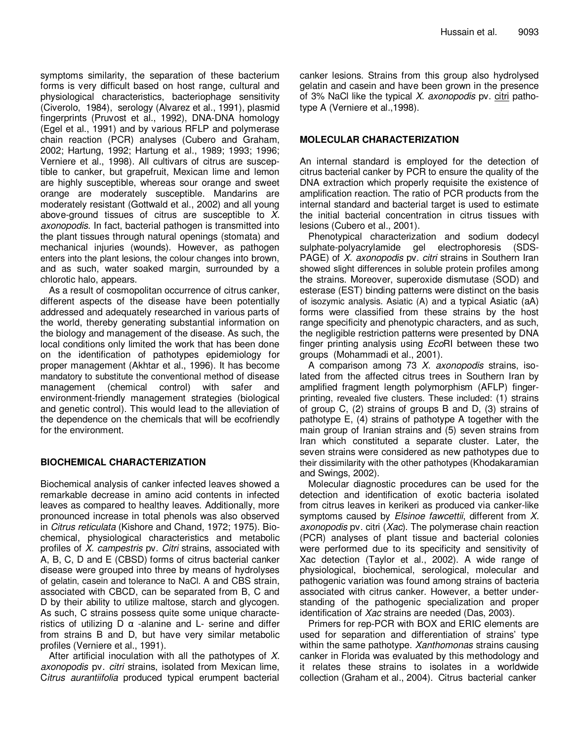symptoms similarity, the separation of these bacterium forms is very difficult based on host range, cultural and physiological characteristics, bacteriophage sensitivity (Civerolo, 1984), serology (Alvarez et al., 1991), plasmid fingerprints (Pruvost et al., 1992), DNA-DNA homology (Egel et al., 1991) and by various RFLP and polymerase chain reaction (PCR) analyses (Cubero and Graham, 2002; Hartung, 1992; Hartung et al., 1989; 1993; 1996; Verniere et al., 1998). All cultivars of citrus are susceptible to canker, but grapefruit, Mexican lime and lemon are highly susceptible, whereas sour orange and sweet orange are moderately susceptible. Mandarins are moderately resistant (Gottwald et al., 2002) and all young above-ground tissues of citrus are susceptible to *X. axonopodis*. In fact, bacterial pathogen is transmitted into the plant tissues through natural openings (stomata) and mechanical injuries (wounds). However, as pathogen enters into the plant lesions, the colour changes into brown, and as such, water soaked margin, surrounded by a chlorotic halo, appears.

As a result of cosmopolitan occurrence of citrus canker, different aspects of the disease have been potentially addressed and adequately researched in various parts of the world, thereby generating substantial information on the biology and management of the disease. As such, the local conditions only limited the work that has been done on the identification of pathotypes epidemiology for proper management (Akhtar et al., 1996). It has become mandatory to substitute the conventional method of disease management (chemical control) with safer and environment-friendly management strategies (biological and genetic control). This would lead to the alleviation of the dependence on the chemicals that will be ecofriendly for the environment.

### **BIOCHEMICAL CHARACTERIZATION**

Biochemical analysis of canker infected leaves showed a remarkable decrease in amino acid contents in infected leaves as compared to healthy leaves. Additionally, more pronounced increase in total phenols was also observed in *Citrus reticulata* (Kishore and Chand, 1972; 1975). Biochemical, physiological characteristics and metabolic profiles of *X. campestris* pv. *Citri* strains, associated with A, B, C, D and E (CBSD) forms of citrus bacterial canker disease were grouped into three by means of hydrolyses of gelatin, casein and tolerance to NaCl. A and CBS strain, associated with CBCD, can be separated from B, C and D by their ability to utilize maltose, starch and glycogen. As such, C strains possess quite some unique characteristics of utilizing  $D \alpha$  -alanine and  $L$ - serine and differ from strains B and D, but have very similar metabolic profiles (Verniere et al., 1991).

After artificial inoculation with all the pathotypes of *X. axonopodis* pv. *citri* strains, isolated from Mexican lime, C*itrus aurantiifolia* produced typical erumpent bacterial canker lesions. Strains from this group also hydrolysed gelatin and casein and have been grown in the presence of 3% NaCl like the typical *X. axonopodis* pv. citri pathotype A (Verniere et al.,1998).

#### **MOLECULAR CHARACTERIZATION**

An internal standard is employed for the detection of citrus bacterial canker by PCR to ensure the quality of the DNA extraction which properly requisite the existence of amplification reaction. The ratio of PCR products from the internal standard and bacterial target is used to estimate the initial bacterial concentration in citrus tissues with lesions (Cubero et al., 2001).

Phenotypical characterization and sodium dodecyl sulphate-polyacrylamide gel electrophoresis (SDS-PAGE) of *X. axonopodis* pv. *citri* strains in Southern Iran showed slight differences in soluble protein profiles among the strains. Moreover, superoxide dismutase (SOD) and esterase (EST) binding patterns were distinct on the basis of isozymic analysis. Asiatic (A) and a typical Asiatic (aA) forms were classified from these strains by the host range specificity and phenotypic characters, and as such, the negligible restriction patterns were presented by DNA finger printing analysis using *Eco*RI between these two groups (Mohammadi et al., 2001).

A comparison among 73 *X. axonopodis* strains, isolated from the affected citrus trees in Southern Iran by amplified fragment length polymorphism (AFLP) fingerprinting, revealed five clusters. These included: (1) strains of group C, (2) strains of groups B and D, (3) strains of pathotype E, (4) strains of pathotype A together with the main group of Iranian strains and (5) seven strains from Iran which constituted a separate cluster. Later, the seven strains were considered as new pathotypes due to their dissimilarity with the other pathotypes (Khodakaramian and Swings, 2002).

Molecular diagnostic procedures can be used for the detection and identification of exotic bacteria isolated from citrus leaves in kerikeri as produced via canker-like symptoms caused by *Elsinoe fawcettii*, different from *X. axonopodis* pv. citri (*Xac*). The polymerase chain reaction (PCR) analyses of plant tissue and bacterial colonies were performed due to its specificity and sensitivity of Xac detection (Taylor et al., 2002). A wide range of physiological, biochemical, serological, molecular and pathogenic variation was found among strains of bacteria associated with citrus canker. However, a better understanding of the pathogenic specialization and proper identification of *Xac* strains are needed (Das, 2003).

Primers for rep-PCR with BOX and ERIC elements are used for separation and differentiation of strains' type within the same pathotype. *Xanthomonas* strains causing canker in Florida was evaluated by this methodology and it relates these strains to isolates in a worldwide collection (Graham et al., 2004). Citrus bacterial canker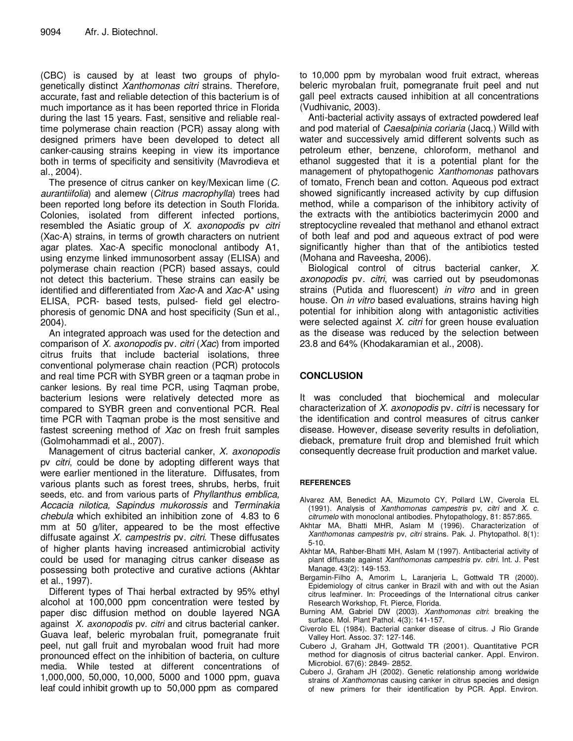(CBC) is caused by at least two groups of phylogenetically distinct *Xanthomonas citri* strains. Therefore, accurate, fast and reliable detection of this bacterium is of much importance as it has been reported thrice in Florida during the last 15 years. Fast, sensitive and reliable realtime polymerase chain reaction (PCR) assay along with designed primers have been developed to detect all canker-causing strains keeping in view its importance both in terms of specificity and sensitivity (Mavrodieva et al., 2004).

The presence of citrus canker on key/Mexican lime (*C. aurantiifolia*) and alemew (*Citrus macrophylla*) trees had been reported long before its detection in South Florida. Colonies, isolated from different infected portions, resembled the Asiatic group of *X. axonopodis* pv *citri* (Xac-A) strains, in terms of growth characters on nutrient agar plates. Xac-A specific monoclonal antibody A1, using enzyme linked immunosorbent assay (ELISA) and polymerase chain reaction (PCR) based assays, could not detect this bacterium. These strains can easily be identified and differentiated from *Xac*-A and *Xac-*A\* using ELISA, PCR- based tests, pulsed- field gel electrophoresis of genomic DNA and host specificity (Sun et al., 2004).

An integrated approach was used for the detection and comparison of *X. axonopodis* pv. *citri* (*Xac*) from imported citrus fruits that include bacterial isolations, three conventional polymerase chain reaction (PCR) protocols and real time PCR with SYBR green or a taqman probe in canker lesions. By real time PCR, using Taqman probe, bacterium lesions were relatively detected more as compared to SYBR green and conventional PCR. Real time PCR with Taqman probe is the most sensitive and fastest screening method of *Xac* on fresh fruit samples (Golmohammadi et al., 2007).

Management of citrus bacterial canker, *X. axonopodis* pv *citri*, could be done by adopting different ways that were earlier mentioned in the literature. Diffusates, from various plants such as forest trees, shrubs, herbs, fruit seeds, etc. and from various parts of *Phyllanthus emblica, Accacia nilotica, Sapindus mukorossis* and *Terminakia chebula* which exhibited an inhibition zone of 4.83 to 6 mm at 50 g/liter, appeared to be the most effective diffusate against *X. campestris* pv. *citri*. These diffusates of higher plants having increased antimicrobial activity could be used for managing citrus canker disease as possessing both protective and curative actions (Akhtar et al., 1997).

Different types of Thai herbal extracted by 95% ethyl alcohol at 100,000 ppm concentration were tested by paper disc diffusion method on double layered NGA against *X. axonopodis* pv. *citri* and citrus bacterial canker. Guava leaf, beleric myrobalan fruit, pomegranate fruit peel, nut gall fruit and myrobalan wood fruit had more pronounced effect on the inhibition of bacteria, on culture media. While tested at different concentrations of 1,000,000, 50,000, 10,000, 5000 and 1000 ppm, guava leaf could inhibit growth up to 50,000 ppm as compared

to 10,000 ppm by myrobalan wood fruit extract, whereas beleric myrobalan fruit, pomegranate fruit peel and nut gall peel extracts caused inhibition at all concentrations (Vudhivanic, 2003).

Anti-bacterial activity assays of extracted powdered leaf and pod material of *Caesalpinia coriaria* (Jacq.) Willd with water and successively amid different solvents such as petroleum ether, benzene, chloroform, methanol and ethanol suggested that it is a potential plant for the management of phytopathogenic *Xanthomonas* pathovars of tomato, French bean and cotton. Aqueous pod extract showed significantly increased activity by cup diffusion method, while a comparison of the inhibitory activity of the extracts with the antibiotics bacterimycin 2000 and streptocycline revealed that methanol and ethanol extract of both leaf and pod and aqueous extract of pod were significantly higher than that of the antibiotics tested (Mohana and Raveesha, 2006).

Biological control of citrus bacterial canker, *X. axonopodis* pv. *citri*, was carried out by pseudomonas strains (Putida and fluorescent) *in vitro* and in green house. On *in vitro* based evaluations, strains having high potential for inhibition along with antagonistic activities were selected against *X. citri* for green house evaluation as the disease was reduced by the selection between 23.8 and 64% (Khodakaramian et al., 2008).

### **CONCLUSION**

It was concluded that biochemical and molecular characterization of *X. axonopodis* pv. *citri* is necessary for the identification and control measures of citrus canker disease. However, disease severity results in defoliation, dieback, premature fruit drop and blemished fruit which consequently decrease fruit production and market value.

#### **REFERENCES**

- Alvarez AM, Benedict AA, Mizumoto CY, Pollard LW, Civerola EL (1991). Analysis of *Xanthomonas campestris* pv, *citri* and *X. c. citrumelo* with monoclonal antibodies. Phytopathology, 81: 857:865.
- Akhtar MA, Bhatti MHR, Aslam M (1996). Characterization of *Xanthomonas campestris* pv, *citri* strains. Pak. J. Phytopathol. 8(1): 5-10.
- Akhtar MA, Rahber-Bhatti MH, Aslam M (1997). Antibacterial activity of plant diffusate against *Xanthomonas campestris* pv. *citri*. Int. J. Pest Manage. 43(2): 149-153.
- Bergamin-Filho A, Amorim L, Laranjeria L, Gottwald TR (2000). Epidemiology of citrus canker in Brazil with and with out the Asian citrus leafminer. In: Proceedings of the International citrus canker Research Workshop, Ft. Pierce, Florida.
- Burning AM, Gabriel DW (2003). *Xanthomonas citri*: breaking the surface. Mol. Plant Pathol. 4(3): 141-157.
- Civerolo EL (1984). Bacterial canker disease of citrus. J Rio Grande Valley Hort. Assoc. 37: 127-146.
- Cubero J, Graham JH, Gottwald TR (2001). Quantitative PCR method for diagnosis of citrus bacterial canker. Appl. Environ. Microbiol. 67(6): 2849- 2852.
- Cubero J, Graham JH (2002). Genetic relationship among worldwide strains of *Xanthomonas* causing canker in citrus species and design of new primers for their identification by PCR. Appl. Environ.